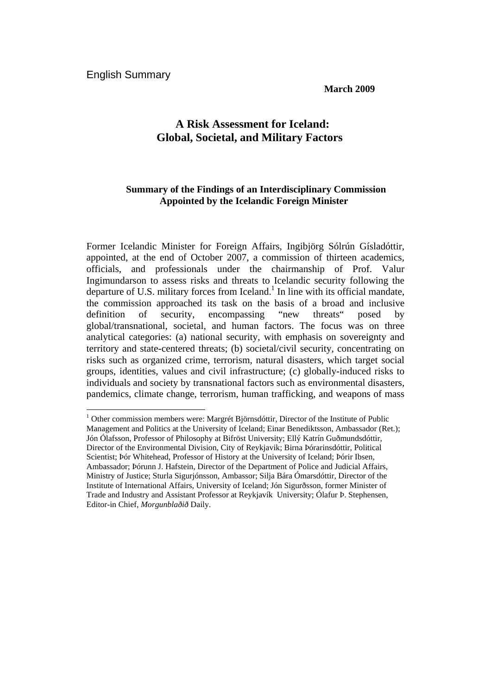**March 2009** 

# **A Risk Assessment for Iceland: Global, Societal, and Military Factors**

## **Summary of the Findings of an Interdisciplinary Commission Appointed by the Icelandic Foreign Minister**

Former Icelandic Minister for Foreign Affairs, Ingibjörg Sólrún Gísladóttir, appointed, at the end of October 2007, a commission of thirteen academics, officials, and professionals under the chairmanship of Prof. Valur Ingimundarson to assess risks and threats to Icelandic security following the departure of U.S. military forces from Iceland.<sup>1</sup> In line with its official mandate, the commission approached its task on the basis of a broad and inclusive definition of security, encompassing "new threats" posed by global/transnational, societal, and human factors. The focus was on three analytical categories: (a) national security, with emphasis on sovereignty and territory and state-centered threats; (b) societal/civil security, concentrating on risks such as organized crime, terrorism, natural disasters, which target social groups, identities, values and civil infrastructure; (c) globally-induced risks to individuals and society by transnational factors such as environmental disasters, pandemics, climate change, terrorism, human trafficking, and weapons of mass

 $\overline{a}$ <sup>1</sup> Other commission members were: Margrét Björnsdóttir, Director of the Institute of Public Management and Politics at the University of Iceland; Einar Benediktsson, Ambassador (Ret.); Jón Ólafsson, Professor of Philosophy at Bifröst University; Ellý Katrín Guðmundsdóttir, Director of the Environmental Division, City of Reykjavik; Birna Þórarinsdóttir, Political Scientist; Þór Whitehead, Professor of History at the University of Iceland; Þórir Ibsen, Ambassador; Þórunn J. Hafstein, Director of the Department of Police and Judicial Affairs, Ministry of Justice; Sturla Sigurjónsson, Ambassor; Silja Bára Ómarsdóttir, Director of the Institute of International Affairs, University of Iceland; Jón Sigurðsson, former Minister of Trade and Industry and Assistant Professor at Reykjavík University; Ólafur Þ. Stephensen, Editor-in Chief, *Morgunblaðið* Daily.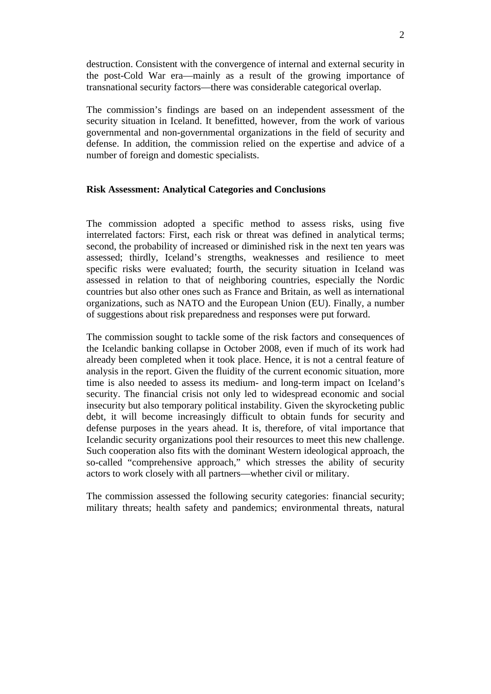destruction. Consistent with the convergence of internal and external security in the post-Cold War era—mainly as a result of the growing importance of transnational security factors—there was considerable categorical overlap.

The commission's findings are based on an independent assessment of the security situation in Iceland. It benefitted, however, from the work of various governmental and non-governmental organizations in the field of security and defense. In addition, the commission relied on the expertise and advice of a number of foreign and domestic specialists.

#### **Risk Assessment: Analytical Categories and Conclusions**

The commission adopted a specific method to assess risks, using five interrelated factors: First, each risk or threat was defined in analytical terms; second, the probability of increased or diminished risk in the next ten years was assessed; thirdly, Iceland's strengths, weaknesses and resilience to meet specific risks were evaluated; fourth, the security situation in Iceland was assessed in relation to that of neighboring countries, especially the Nordic countries but also other ones such as France and Britain, as well as international organizations, such as NATO and the European Union (EU). Finally, a number of suggestions about risk preparedness and responses were put forward.

The commission sought to tackle some of the risk factors and consequences of the Icelandic banking collapse in October 2008, even if much of its work had already been completed when it took place. Hence, it is not a central feature of analysis in the report. Given the fluidity of the current economic situation, more time is also needed to assess its medium- and long-term impact on Iceland's security. The financial crisis not only led to widespread economic and social insecurity but also temporary political instability. Given the skyrocketing public debt, it will become increasingly difficult to obtain funds for security and defense purposes in the years ahead. It is, therefore, of vital importance that Icelandic security organizations pool their resources to meet this new challenge. Such cooperation also fits with the dominant Western ideological approach, the so-called "comprehensive approach," which stresses the ability of security actors to work closely with all partners—whether civil or military.

The commission assessed the following security categories: financial security; military threats; health safety and pandemics; environmental threats, natural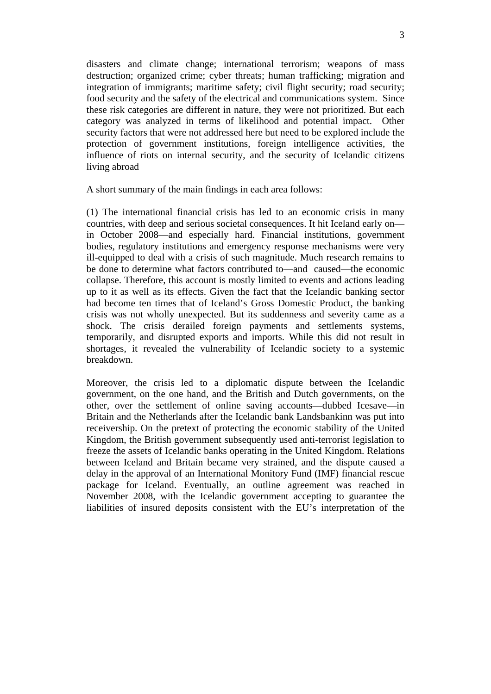disasters and climate change; international terrorism; weapons of mass destruction; organized crime; cyber threats; human trafficking; migration and integration of immigrants; maritime safety; civil flight security; road security; food security and the safety of the electrical and communications system. Since these risk categories are different in nature, they were not prioritized. But each category was analyzed in terms of likelihood and potential impact. Other security factors that were not addressed here but need to be explored include the protection of government institutions, foreign intelligence activities, the influence of riots on internal security, and the security of Icelandic citizens living abroad

A short summary of the main findings in each area follows:

(1) The international financial crisis has led to an economic crisis in many countries, with deep and serious societal consequences. It hit Iceland early on in October 2008—and especially hard. Financial institutions, government bodies, regulatory institutions and emergency response mechanisms were very ill-equipped to deal with a crisis of such magnitude. Much research remains to be done to determine what factors contributed to—and caused—the economic collapse. Therefore, this account is mostly limited to events and actions leading up to it as well as its effects. Given the fact that the Icelandic banking sector had become ten times that of Iceland's Gross Domestic Product, the banking crisis was not wholly unexpected. But its suddenness and severity came as a shock. The crisis derailed foreign payments and settlements systems, temporarily, and disrupted exports and imports. While this did not result in shortages, it revealed the vulnerability of Icelandic society to a systemic breakdown.

Moreover, the crisis led to a diplomatic dispute between the Icelandic government, on the one hand, and the British and Dutch governments, on the other, over the settlement of online saving accounts—dubbed Icesave—in Britain and the Netherlands after the Icelandic bank Landsbankinn was put into receivership. On the pretext of protecting the economic stability of the United Kingdom, the British government subsequently used anti-terrorist legislation to freeze the assets of Icelandic banks operating in the United Kingdom. Relations between Iceland and Britain became very strained, and the dispute caused a delay in the approval of an International Monitory Fund (IMF) financial rescue package for Iceland. Eventually, an outline agreement was reached in November 2008, with the Icelandic government accepting to guarantee the liabilities of insured deposits consistent with the EU's interpretation of the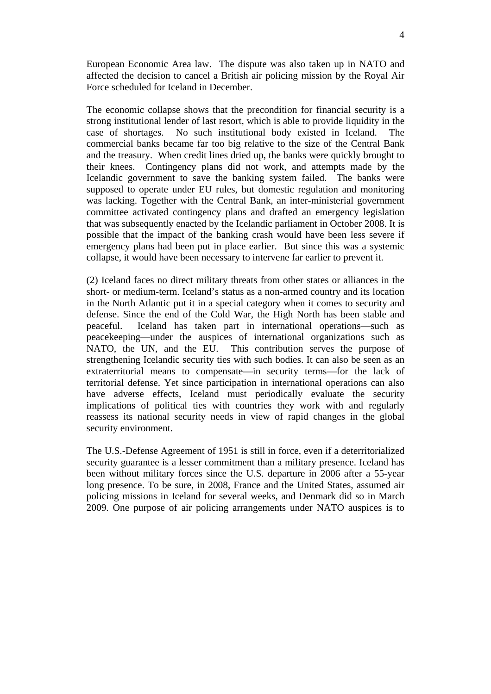European Economic Area law. The dispute was also taken up in NATO and affected the decision to cancel a British air policing mission by the Royal Air Force scheduled for Iceland in December.

The economic collapse shows that the precondition for financial security is a strong institutional lender of last resort, which is able to provide liquidity in the case of shortages. No such institutional body existed in Iceland. The commercial banks became far too big relative to the size of the Central Bank and the treasury. When credit lines dried up, the banks were quickly brought to their knees. Contingency plans did not work, and attempts made by the Icelandic government to save the banking system failed. The banks were supposed to operate under EU rules, but domestic regulation and monitoring was lacking. Together with the Central Bank, an inter-ministerial government committee activated contingency plans and drafted an emergency legislation that was subsequently enacted by the Icelandic parliament in October 2008. It is possible that the impact of the banking crash would have been less severe if emergency plans had been put in place earlier. But since this was a systemic collapse, it would have been necessary to intervene far earlier to prevent it.

(2) Iceland faces no direct military threats from other states or alliances in the short- or medium-term. Iceland's status as a non-armed country and its location in the North Atlantic put it in a special category when it comes to security and defense. Since the end of the Cold War, the High North has been stable and peaceful. Iceland has taken part in international operations—such as peacekeeping—under the auspices of international organizations such as NATO, the UN, and the EU. This contribution serves the purpose of strengthening Icelandic security ties with such bodies. It can also be seen as an extraterritorial means to compensate—in security terms—for the lack of territorial defense. Yet since participation in international operations can also have adverse effects, Iceland must periodically evaluate the security implications of political ties with countries they work with and regularly reassess its national security needs in view of rapid changes in the global security environment.

The U.S.-Defense Agreement of 1951 is still in force, even if a deterritorialized security guarantee is a lesser commitment than a military presence. Iceland has been without military forces since the U.S. departure in 2006 after a 55-year long presence. To be sure, in 2008, France and the United States, assumed air policing missions in Iceland for several weeks, and Denmark did so in March 2009. One purpose of air policing arrangements under NATO auspices is to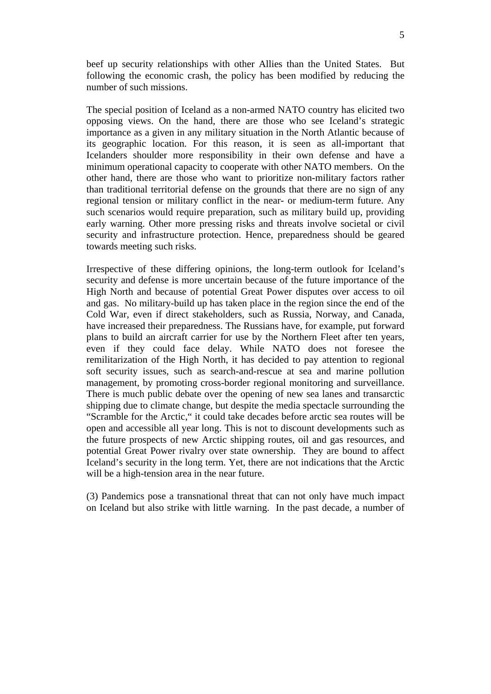beef up security relationships with other Allies than the United States. But following the economic crash, the policy has been modified by reducing the number of such missions.

The special position of Iceland as a non-armed NATO country has elicited two opposing views. On the hand, there are those who see Iceland's strategic importance as a given in any military situation in the North Atlantic because of its geographic location. For this reason, it is seen as all-important that Icelanders shoulder more responsibility in their own defense and have a minimum operational capacity to cooperate with other NATO members. On the other hand, there are those who want to prioritize non-military factors rather than traditional territorial defense on the grounds that there are no sign of any regional tension or military conflict in the near- or medium-term future. Any such scenarios would require preparation, such as military build up, providing early warning. Other more pressing risks and threats involve societal or civil security and infrastructure protection. Hence, preparedness should be geared towards meeting such risks.

Irrespective of these differing opinions, the long-term outlook for Iceland's security and defense is more uncertain because of the future importance of the High North and because of potential Great Power disputes over access to oil and gas. No military-build up has taken place in the region since the end of the Cold War, even if direct stakeholders, such as Russia, Norway, and Canada, have increased their preparedness. The Russians have, for example, put forward plans to build an aircraft carrier for use by the Northern Fleet after ten years, even if they could face delay. While NATO does not foresee the remilitarization of the High North, it has decided to pay attention to regional soft security issues, such as search-and-rescue at sea and marine pollution management, by promoting cross-border regional monitoring and surveillance. There is much public debate over the opening of new sea lanes and transarctic shipping due to climate change, but despite the media spectacle surrounding the "Scramble for the Arctic," it could take decades before arctic sea routes will be open and accessible all year long. This is not to discount developments such as the future prospects of new Arctic shipping routes, oil and gas resources, and potential Great Power rivalry over state ownership. They are bound to affect Iceland's security in the long term. Yet, there are not indications that the Arctic will be a high-tension area in the near future.

(3) Pandemics pose a transnational threat that can not only have much impact on Iceland but also strike with little warning. In the past decade, a number of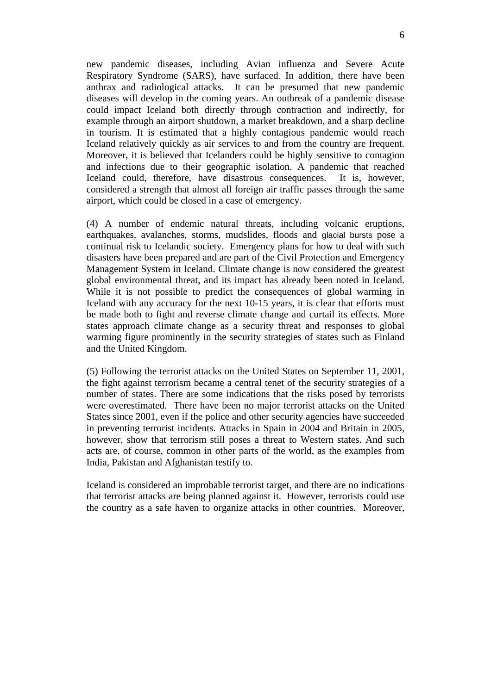new pandemic diseases, including Avian influenza and Severe Acute Respiratory Syndrome (SARS), have surfaced. In addition, there have been anthrax and radiological attacks. It can be presumed that new pandemic diseases will develop in the coming years. An outbreak of a pandemic disease could impact Iceland both directly through contraction and indirectly, for example through an airport shutdown, a market breakdown, and a sharp decline in tourism. It is estimated that a highly contagious pandemic would reach Iceland relatively quickly as air services to and from the country are frequent. Moreover, it is believed that Icelanders could be highly sensitive to contagion and infections due to their geographic isolation. A pandemic that reached Iceland could, therefore, have disastrous consequences. It is, however, considered a strength that almost all foreign air traffic passes through the same airport, which could be closed in a case of emergency.

(4) A number of endemic natural threats, including volcanic eruptions, earthquakes, avalanches, storms, mudslides, floods and glacial bursts pose a continual risk to Icelandic society. Emergency plans for how to deal with such disasters have been prepared and are part of the Civil Protection and Emergency Management System in Iceland. Climate change is now considered the greatest global environmental threat, and its impact has already been noted in Iceland. While it is not possible to predict the consequences of global warming in Iceland with any accuracy for the next 10-15 years, it is clear that efforts must be made both to fight and reverse climate change and curtail its effects. More states approach climate change as a security threat and responses to global warming figure prominently in the security strategies of states such as Finland and the United Kingdom.

(5) Following the terrorist attacks on the United States on September 11, 2001, the fight against terrorism became a central tenet of the security strategies of a number of states. There are some indications that the risks posed by terrorists were overestimated. There have been no major terrorist attacks on the United States since 2001, even if the police and other security agencies have succeeded in preventing terrorist incidents. Attacks in Spain in 2004 and Britain in 2005, however, show that terrorism still poses a threat to Western states. And such acts are, of course, common in other parts of the world, as the examples from India, Pakistan and Afghanistan testify to.

Iceland is considered an improbable terrorist target, and there are no indications that terrorist attacks are being planned against it. However, terrorists could use the country as a safe haven to organize attacks in other countries. Moreover,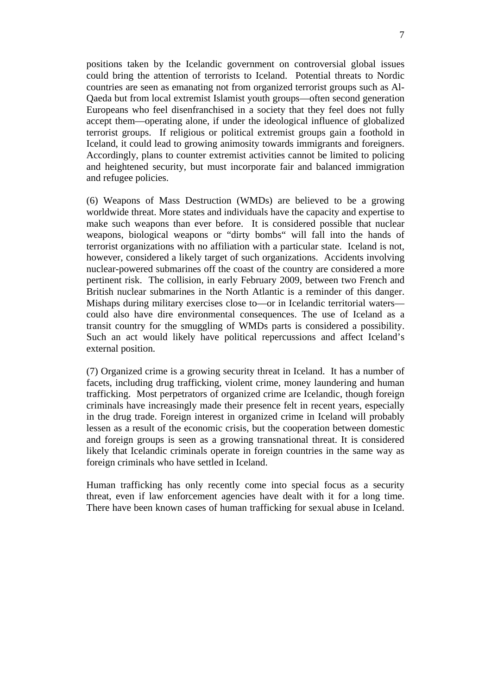positions taken by the Icelandic government on controversial global issues could bring the attention of terrorists to Iceland. Potential threats to Nordic countries are seen as emanating not from organized terrorist groups such as Al-Qaeda but from local extremist Islamist youth groups—often second generation Europeans who feel disenfranchised in a society that they feel does not fully accept them—operating alone, if under the ideological influence of globalized terrorist groups. If religious or political extremist groups gain a foothold in Iceland, it could lead to growing animosity towards immigrants and foreigners. Accordingly, plans to counter extremist activities cannot be limited to policing and heightened security, but must incorporate fair and balanced immigration and refugee policies.

(6) Weapons of Mass Destruction (WMDs) are believed to be a growing worldwide threat. More states and individuals have the capacity and expertise to make such weapons than ever before. It is considered possible that nuclear weapons, biological weapons or "dirty bombs" will fall into the hands of terrorist organizations with no affiliation with a particular state. Iceland is not, however, considered a likely target of such organizations. Accidents involving nuclear-powered submarines off the coast of the country are considered a more pertinent risk. The collision, in early February 2009, between two French and British nuclear submarines in the North Atlantic is a reminder of this danger. Mishaps during military exercises close to—or in Icelandic territorial waters could also have dire environmental consequences. The use of Iceland as a transit country for the smuggling of WMDs parts is considered a possibility. Such an act would likely have political repercussions and affect Iceland's external position.

(7) Organized crime is a growing security threat in Iceland. It has a number of facets, including drug trafficking, violent crime, money laundering and human trafficking. Most perpetrators of organized crime are Icelandic, though foreign criminals have increasingly made their presence felt in recent years, especially in the drug trade. Foreign interest in organized crime in Iceland will probably lessen as a result of the economic crisis, but the cooperation between domestic and foreign groups is seen as a growing transnational threat. It is considered likely that Icelandic criminals operate in foreign countries in the same way as foreign criminals who have settled in Iceland.

Human trafficking has only recently come into special focus as a security threat, even if law enforcement agencies have dealt with it for a long time. There have been known cases of human trafficking for sexual abuse in Iceland.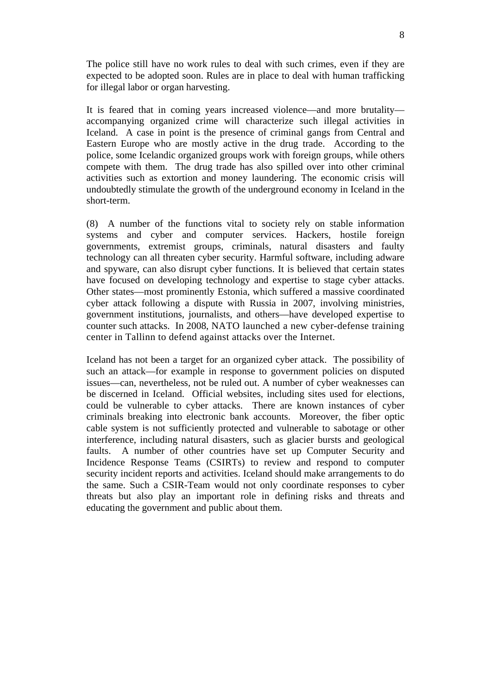The police still have no work rules to deal with such crimes, even if they are expected to be adopted soon. Rules are in place to deal with human trafficking for illegal labor or organ harvesting.

It is feared that in coming years increased violence—and more brutality accompanying organized crime will characterize such illegal activities in Iceland. A case in point is the presence of criminal gangs from Central and Eastern Europe who are mostly active in the drug trade. According to the police, some Icelandic organized groups work with foreign groups, while others compete with them. The drug trade has also spilled over into other criminal activities such as extortion and money laundering. The economic crisis will undoubtedly stimulate the growth of the underground economy in Iceland in the short-term.

(8) A number of the functions vital to society rely on stable information systems and cyber and computer services. Hackers, hostile foreign governments, extremist groups, criminals, natural disasters and faulty technology can all threaten cyber security. Harmful software, including adware and spyware, can also disrupt cyber functions. It is believed that certain states have focused on developing technology and expertise to stage cyber attacks. Other states—most prominently Estonia, which suffered a massive coordinated cyber attack following a dispute with Russia in 2007, involving ministries, government institutions, journalists, and others—have developed expertise to counter such attacks. In 2008, NATO launched a new cyber-defense training center in Tallinn to defend against attacks over the Internet.

Iceland has not been a target for an organized cyber attack. The possibility of such an attack—for example in response to government policies on disputed issues—can, nevertheless, not be ruled out. A number of cyber weaknesses can be discerned in Iceland. Official websites, including sites used for elections, could be vulnerable to cyber attacks. There are known instances of cyber criminals breaking into electronic bank accounts. Moreover, the fiber optic cable system is not sufficiently protected and vulnerable to sabotage or other interference, including natural disasters, such as glacier bursts and geological faults. A number of other countries have set up Computer Security and Incidence Response Teams (CSIRTs) to review and respond to computer security incident reports and activities. Iceland should make arrangements to do the same. Such a CSIR-Team would not only coordinate responses to cyber threats but also play an important role in defining risks and threats and educating the government and public about them.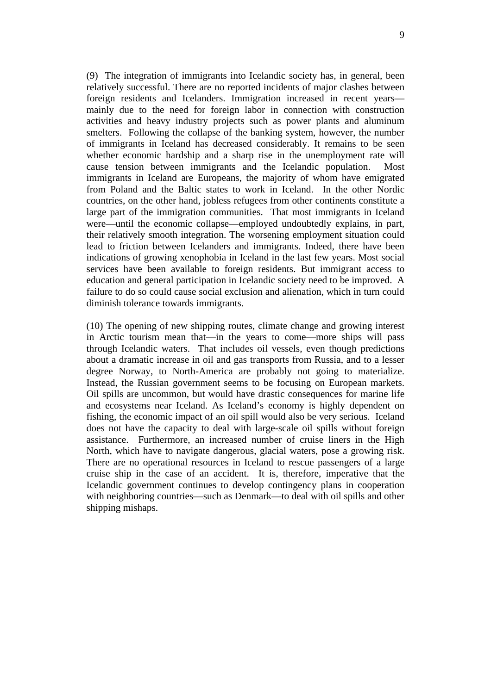(9) The integration of immigrants into Icelandic society has, in general, been relatively successful. There are no reported incidents of major clashes between foreign residents and Icelanders. Immigration increased in recent years mainly due to the need for foreign labor in connection with construction activities and heavy industry projects such as power plants and aluminum smelters. Following the collapse of the banking system, however, the number of immigrants in Iceland has decreased considerably. It remains to be seen whether economic hardship and a sharp rise in the unemployment rate will cause tension between immigrants and the Icelandic population. Most immigrants in Iceland are Europeans, the majority of whom have emigrated from Poland and the Baltic states to work in Iceland. In the other Nordic countries, on the other hand, jobless refugees from other continents constitute a large part of the immigration communities. That most immigrants in Iceland were—until the economic collapse—employed undoubtedly explains, in part, their relatively smooth integration. The worsening employment situation could lead to friction between Icelanders and immigrants. Indeed, there have been indications of growing xenophobia in Iceland in the last few years. Most social services have been available to foreign residents. But immigrant access to education and general participation in Icelandic society need to be improved. A failure to do so could cause social exclusion and alienation, which in turn could diminish tolerance towards immigrants.

(10) The opening of new shipping routes, climate change and growing interest in Arctic tourism mean that—in the years to come—more ships will pass through Icelandic waters. That includes oil vessels, even though predictions about a dramatic increase in oil and gas transports from Russia, and to a lesser degree Norway, to North-America are probably not going to materialize. Instead, the Russian government seems to be focusing on European markets. Oil spills are uncommon, but would have drastic consequences for marine life and ecosystems near Iceland. As Iceland's economy is highly dependent on fishing, the economic impact of an oil spill would also be very serious. Iceland does not have the capacity to deal with large-scale oil spills without foreign assistance. Furthermore, an increased number of cruise liners in the High North, which have to navigate dangerous, glacial waters, pose a growing risk. There are no operational resources in Iceland to rescue passengers of a large cruise ship in the case of an accident. It is, therefore, imperative that the Icelandic government continues to develop contingency plans in cooperation with neighboring countries—such as Denmark—to deal with oil spills and other shipping mishaps.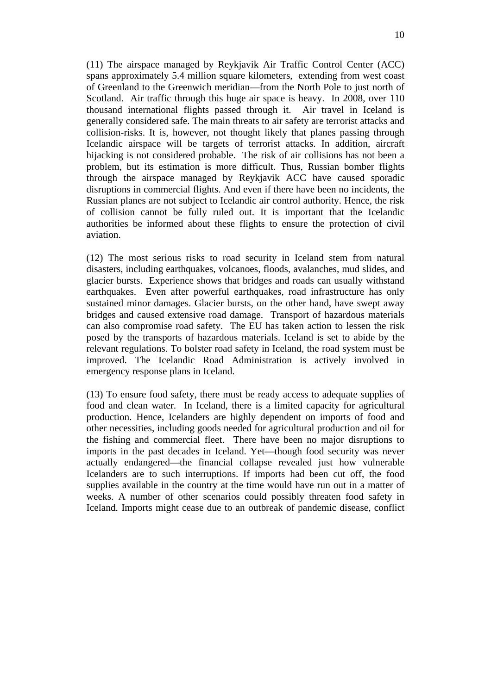(11) The airspace managed by Reykjavik Air Traffic Control Center (ACC) spans approximately 5.4 million square kilometers, extending from west coast of Greenland to the Greenwich meridian—from the North Pole to just north of Scotland. Air traffic through this huge air space is heavy. In 2008, over 110 thousand international flights passed through it. Air travel in Iceland is generally considered safe. The main threats to air safety are terrorist attacks and collision-risks. It is, however, not thought likely that planes passing through Icelandic airspace will be targets of terrorist attacks. In addition, aircraft hijacking is not considered probable. The risk of air collisions has not been a problem, but its estimation is more difficult. Thus, Russian bomber flights through the airspace managed by Reykjavik ACC have caused sporadic disruptions in commercial flights. And even if there have been no incidents, the Russian planes are not subject to Icelandic air control authority. Hence, the risk of collision cannot be fully ruled out. It is important that the Icelandic authorities be informed about these flights to ensure the protection of civil aviation.

(12) The most serious risks to road security in Iceland stem from natural disasters, including earthquakes, volcanoes, floods, avalanches, mud slides, and glacier bursts. Experience shows that bridges and roads can usually withstand earthquakes. Even after powerful earthquakes, road infrastructure has only sustained minor damages. Glacier bursts, on the other hand, have swept away bridges and caused extensive road damage. Transport of hazardous materials can also compromise road safety. The EU has taken action to lessen the risk posed by the transports of hazardous materials. Iceland is set to abide by the relevant regulations. To bolster road safety in Iceland, the road system must be improved. The Icelandic Road Administration is actively involved in emergency response plans in Iceland.

(13) To ensure food safety, there must be ready access to adequate supplies of food and clean water. In Iceland, there is a limited capacity for agricultural production. Hence, Icelanders are highly dependent on imports of food and other necessities, including goods needed for agricultural production and oil for the fishing and commercial fleet. There have been no major disruptions to imports in the past decades in Iceland. Yet—though food security was never actually endangered—the financial collapse revealed just how vulnerable Icelanders are to such interruptions. If imports had been cut off, the food supplies available in the country at the time would have run out in a matter of weeks. A number of other scenarios could possibly threaten food safety in Iceland. Imports might cease due to an outbreak of pandemic disease, conflict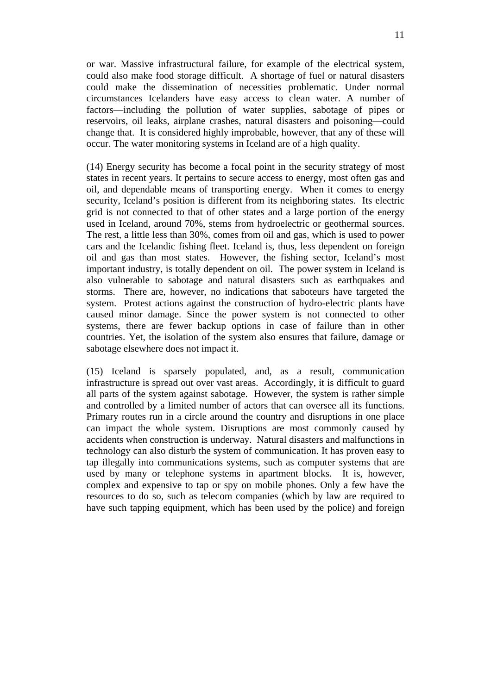or war. Massive infrastructural failure, for example of the electrical system, could also make food storage difficult. A shortage of fuel or natural disasters could make the dissemination of necessities problematic. Under normal circumstances Icelanders have easy access to clean water. A number of factors—including the pollution of water supplies, sabotage of pipes or reservoirs, oil leaks, airplane crashes, natural disasters and poisoning—could change that. It is considered highly improbable, however, that any of these will occur. The water monitoring systems in Iceland are of a high quality.

(14) Energy security has become a focal point in the security strategy of most states in recent years. It pertains to secure access to energy, most often gas and oil, and dependable means of transporting energy. When it comes to energy security, Iceland's position is different from its neighboring states. Its electric grid is not connected to that of other states and a large portion of the energy used in Iceland, around 70%, stems from hydroelectric or geothermal sources. The rest, a little less than 30%, comes from oil and gas, which is used to power cars and the Icelandic fishing fleet. Iceland is, thus, less dependent on foreign oil and gas than most states. However, the fishing sector, Iceland's most important industry, is totally dependent on oil. The power system in Iceland is also vulnerable to sabotage and natural disasters such as earthquakes and storms. There are, however, no indications that saboteurs have targeted the system. Protest actions against the construction of hydro-electric plants have caused minor damage. Since the power system is not connected to other systems, there are fewer backup options in case of failure than in other countries. Yet, the isolation of the system also ensures that failure, damage or sabotage elsewhere does not impact it.

(15) Iceland is sparsely populated, and, as a result, communication infrastructure is spread out over vast areas. Accordingly, it is difficult to guard all parts of the system against sabotage. However, the system is rather simple and controlled by a limited number of actors that can oversee all its functions. Primary routes run in a circle around the country and disruptions in one place can impact the whole system. Disruptions are most commonly caused by accidents when construction is underway. Natural disasters and malfunctions in technology can also disturb the system of communication. It has proven easy to tap illegally into communications systems, such as computer systems that are used by many or telephone systems in apartment blocks. It is, however, complex and expensive to tap or spy on mobile phones. Only a few have the resources to do so, such as telecom companies (which by law are required to have such tapping equipment, which has been used by the police) and foreign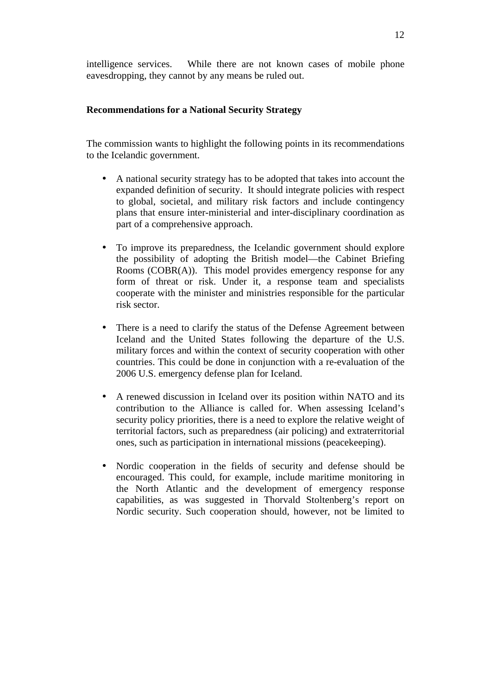intelligence services. While there are not known cases of mobile phone eavesdropping, they cannot by any means be ruled out.

### **Recommendations for a National Security Strategy**

The commission wants to highlight the following points in its recommendations to the Icelandic government.

- A national security strategy has to be adopted that takes into account the expanded definition of security. It should integrate policies with respect to global, societal, and military risk factors and include contingency plans that ensure inter-ministerial and inter-disciplinary coordination as part of a comprehensive approach.
- To improve its preparedness, the Icelandic government should explore the possibility of adopting the British model—the Cabinet Briefing Rooms (COBR(A)). This model provides emergency response for any form of threat or risk. Under it, a response team and specialists cooperate with the minister and ministries responsible for the particular risk sector.
- There is a need to clarify the status of the Defense Agreement between Iceland and the United States following the departure of the U.S. military forces and within the context of security cooperation with other countries. This could be done in conjunction with a re-evaluation of the 2006 U.S. emergency defense plan for Iceland.
- A renewed discussion in Iceland over its position within NATO and its contribution to the Alliance is called for. When assessing Iceland's security policy priorities, there is a need to explore the relative weight of territorial factors, such as preparedness (air policing) and extraterritorial ones, such as participation in international missions (peacekeeping).
- Nordic cooperation in the fields of security and defense should be encouraged. This could, for example, include maritime monitoring in the North Atlantic and the development of emergency response capabilities, as was suggested in Thorvald Stoltenberg's report on Nordic security. Such cooperation should, however, not be limited to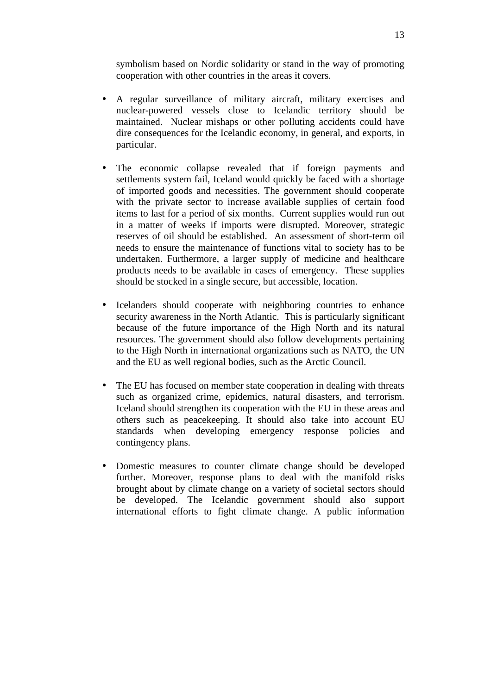symbolism based on Nordic solidarity or stand in the way of promoting cooperation with other countries in the areas it covers.

- A regular surveillance of military aircraft, military exercises and nuclear-powered vessels close to Icelandic territory should be maintained. Nuclear mishaps or other polluting accidents could have dire consequences for the Icelandic economy, in general, and exports, in particular.
- The economic collapse revealed that if foreign payments and settlements system fail, Iceland would quickly be faced with a shortage of imported goods and necessities. The government should cooperate with the private sector to increase available supplies of certain food items to last for a period of six months. Current supplies would run out in a matter of weeks if imports were disrupted. Moreover, strategic reserves of oil should be established. An assessment of short-term oil needs to ensure the maintenance of functions vital to society has to be undertaken. Furthermore, a larger supply of medicine and healthcare products needs to be available in cases of emergency. These supplies should be stocked in a single secure, but accessible, location.
- Icelanders should cooperate with neighboring countries to enhance security awareness in the North Atlantic. This is particularly significant because of the future importance of the High North and its natural resources. The government should also follow developments pertaining to the High North in international organizations such as NATO, the UN and the EU as well regional bodies, such as the Arctic Council.
- The EU has focused on member state cooperation in dealing with threats such as organized crime, epidemics, natural disasters, and terrorism. Iceland should strengthen its cooperation with the EU in these areas and others such as peacekeeping. It should also take into account EU standards when developing emergency response policies and contingency plans.
- Domestic measures to counter climate change should be developed further. Moreover, response plans to deal with the manifold risks brought about by climate change on a variety of societal sectors should be developed. The Icelandic government should also support international efforts to fight climate change. A public information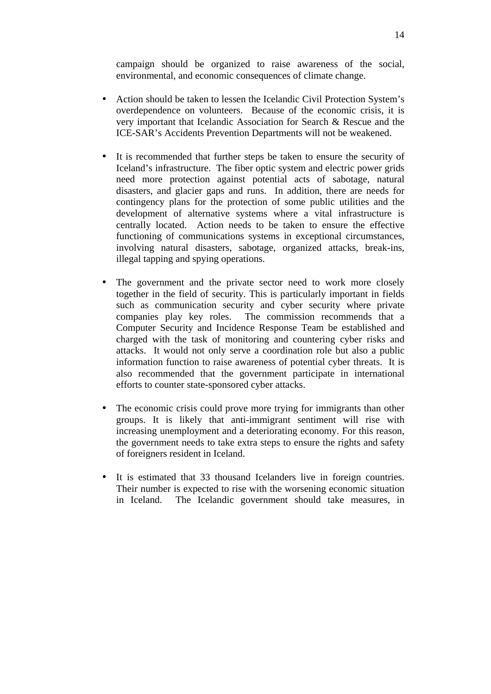campaign should be organized to raise awareness of the social, environmental, and economic consequences of climate change.

- Action should be taken to lessen the Icelandic Civil Protection System's overdependence on volunteers. Because of the economic crisis, it is very important that Icelandic Association for Search & Rescue and the ICE-SAR's Accidents Prevention Departments will not be weakened.
- It is recommended that further steps be taken to ensure the security of Iceland's infrastructure. The fiber optic system and electric power grids need more protection against potential acts of sabotage, natural disasters, and glacier gaps and runs. In addition, there are needs for contingency plans for the protection of some public utilities and the development of alternative systems where a vital infrastructure is centrally located. Action needs to be taken to ensure the effective functioning of communications systems in exceptional circumstances, involving natural disasters, sabotage, organized attacks, break-ins, illegal tapping and spying operations.
- The government and the private sector need to work more closely together in the field of security. This is particularly important in fields such as communication security and cyber security where private companies play key roles. The commission recommends that a Computer Security and Incidence Response Team be established and charged with the task of monitoring and countering cyber risks and attacks. It would not only serve a coordination role but also a public information function to raise awareness of potential cyber threats. It is also recommended that the government participate in international efforts to counter state-sponsored cyber attacks.
- The economic crisis could prove more trying for immigrants than other groups. It is likely that anti-immigrant sentiment will rise with increasing unemployment and a deteriorating economy. For this reason, the government needs to take extra steps to ensure the rights and safety of foreigners resident in Iceland.
- It is estimated that 33 thousand Icelanders live in foreign countries. Their number is expected to rise with the worsening economic situation in Iceland. The Icelandic government should take measures, in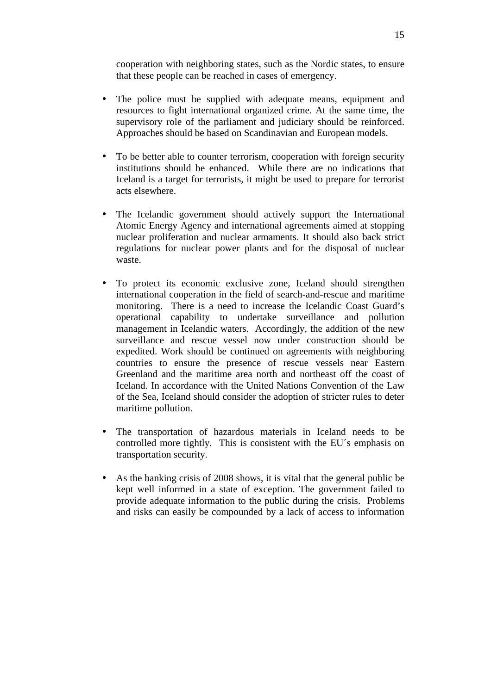cooperation with neighboring states, such as the Nordic states, to ensure that these people can be reached in cases of emergency.

- The police must be supplied with adequate means, equipment and resources to fight international organized crime. At the same time, the supervisory role of the parliament and judiciary should be reinforced. Approaches should be based on Scandinavian and European models.
- To be better able to counter terrorism, cooperation with foreign security institutions should be enhanced. While there are no indications that Iceland is a target for terrorists, it might be used to prepare for terrorist acts elsewhere.
- The Icelandic government should actively support the International Atomic Energy Agency and international agreements aimed at stopping nuclear proliferation and nuclear armaments. It should also back strict regulations for nuclear power plants and for the disposal of nuclear waste.
- To protect its economic exclusive zone, Iceland should strengthen international cooperation in the field of search-and-rescue and maritime monitoring. There is a need to increase the Icelandic Coast Guard's operational capability to undertake surveillance and pollution management in Icelandic waters. Accordingly, the addition of the new surveillance and rescue vessel now under construction should be expedited. Work should be continued on agreements with neighboring countries to ensure the presence of rescue vessels near Eastern Greenland and the maritime area north and northeast off the coast of Iceland. In accordance with the United Nations Convention of the Law of the Sea, Iceland should consider the adoption of stricter rules to deter maritime pollution.
- The transportation of hazardous materials in Iceland needs to be controlled more tightly. This is consistent with the EU´s emphasis on transportation security.
- As the banking crisis of 2008 shows, it is vital that the general public be kept well informed in a state of exception. The government failed to provide adequate information to the public during the crisis. Problems and risks can easily be compounded by a lack of access to information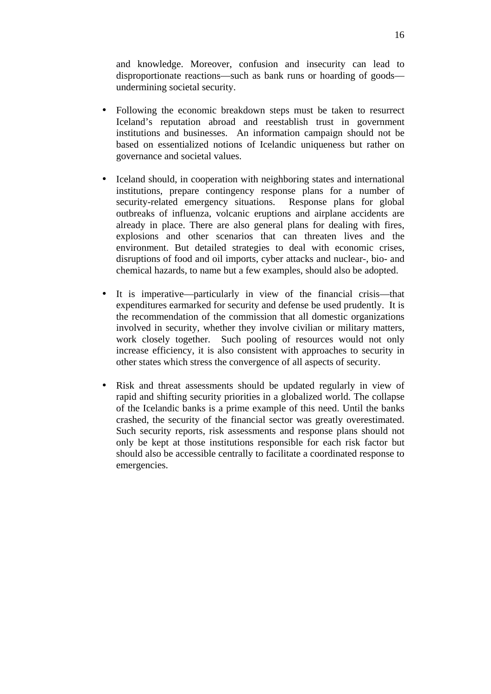and knowledge. Moreover, confusion and insecurity can lead to disproportionate reactions—such as bank runs or hoarding of goods undermining societal security.

- Following the economic breakdown steps must be taken to resurrect Iceland's reputation abroad and reestablish trust in government institutions and businesses. An information campaign should not be based on essentialized notions of Icelandic uniqueness but rather on governance and societal values.
- Iceland should, in cooperation with neighboring states and international institutions, prepare contingency response plans for a number of security-related emergency situations. Response plans for global outbreaks of influenza, volcanic eruptions and airplane accidents are already in place. There are also general plans for dealing with fires, explosions and other scenarios that can threaten lives and the environment. But detailed strategies to deal with economic crises, disruptions of food and oil imports, cyber attacks and nuclear-, bio- and chemical hazards, to name but a few examples, should also be adopted.
- It is imperative—particularly in view of the financial crisis—that expenditures earmarked for security and defense be used prudently. It is the recommendation of the commission that all domestic organizations involved in security, whether they involve civilian or military matters, work closely together. Such pooling of resources would not only increase efficiency, it is also consistent with approaches to security in other states which stress the convergence of all aspects of security.
- Risk and threat assessments should be updated regularly in view of rapid and shifting security priorities in a globalized world. The collapse of the Icelandic banks is a prime example of this need. Until the banks crashed, the security of the financial sector was greatly overestimated. Such security reports, risk assessments and response plans should not only be kept at those institutions responsible for each risk factor but should also be accessible centrally to facilitate a coordinated response to emergencies.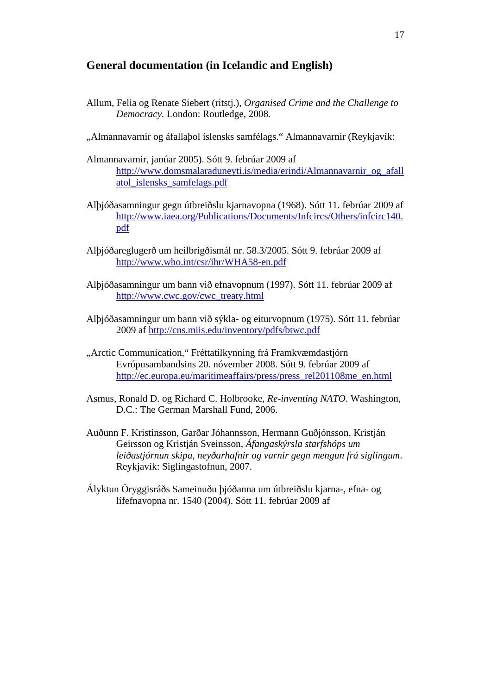### **General documentation (in Icelandic and English)**

- Allum, Felia og Renate Siebert (ritstj.), *Organised Crime and the Challenge to Democracy.* London: Routledge, 2008*.*
- "Almannavarnir og áfallabol íslensks samfélags." Almannavarnir (Reykjavík:
- Almannavarnir, janúar 2005). Sótt 9. febrúar 2009 af http://www.domsmalaraduneyti.is/media/erindi/Almannavarnir\_og\_afall atol\_islensks\_samfelags.pdf
- Alþjóðasamningur gegn útbreiðslu kjarnavopna (1968). Sótt 11. febrúar 2009 af http://www.iaea.org/Publications/Documents/Infcircs/Others/infcirc140. pdf
- Alþjóðareglugerð um heilbrigðismál nr. 58.3/2005. Sótt 9. febrúar 2009 af http://www.who.int/csr/ihr/WHA58-en.pdf
- Alþjóðasamningur um bann við efnavopnum (1997). Sótt 11. febrúar 2009 af http://www.cwc.gov/cwc\_treaty.html
- Alþjóðasamningur um bann við sýkla- og eiturvopnum (1975). Sótt 11. febrúar 2009 af http://cns.miis.edu/inventory/pdfs/btwc.pdf
- "Arctic Communication," Fréttatilkynning frá Framkvæmdastjórn Evrópusambandsins 20. nóvember 2008. Sótt 9. febrúar 2009 af http://ec.europa.eu/maritimeaffairs/press/press\_rel201108me\_en.html
- Asmus, Ronald D. og Richard C. Holbrooke, *Re-inventing NATO*. Washington, D.C.: The German Marshall Fund, 2006.
- Auðunn F. Kristinsson, Garðar Jóhannsson, Hermann Guðjónsson, Kristján Geirsson og Kristján Sveinsson, *Áfangaskýrsla starfshóps um leiðastjórnun skipa, neyðarhafnir og varnir gegn mengun frá siglingum*. Reykjavík: Siglingastofnun, 2007.
- Ályktun Öryggisráðs Sameinuðu þjóðanna um útbreiðslu kjarna-, efna- og lífefnavopna nr. 1540 (2004). Sótt 11. febrúar 2009 af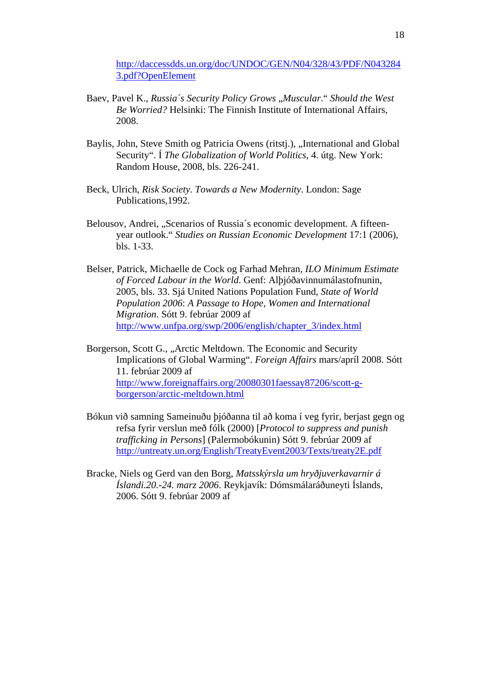http://daccessdds.un.org/doc/UNDOC/GEN/N04/328/43/PDF/N043284 3.pdf?OpenElement

- Baev, Pavel K., *Russia's Security Policy Grows* , *Muscular*. "*Should the West Be Worried?* Helsinki: The Finnish Institute of International Affairs, 2008.
- Baylis, John, Steve Smith og Patricia Owens (ritstj.), "International and Global Security". Í *The Globalization of World Politics*, 4. útg. New York: Random House, 2008, bls. 226-241.
- Beck, Ulrich, *Risk Society. Towards a New Modernity*. London: Sage Publications,1992.
- Belousov, Andrei, "Scenarios of Russia´s economic development. A fifteenyear outlook." *Studies on Russian Economic Development* 17:1 (2006), bls. 1-33.
- Belser, Patrick, Michaelle de Cock og Farhad Mehran*, ILO Minimum Estimate of Forced Labour in the World*. Genf: Alþjóðavinnumálastofnunin, 2005, bls. 33. Sjá United Nations Population Fund, *State of World Population 2006*: *A Passage to Hope, Women and International Migration*. Sótt 9. febrúar 2009 af http://www.unfpa.org/swp/2006/english/chapter\_3/index.html
- Borgerson, Scott G., "Arctic Meltdown. The Economic and Security Implications of Global Warming". *Foreign Affairs* mars/apríl 2008. Sótt 11. febrúar 2009 af http://www.foreignaffairs.org/20080301faessay87206/scott-gborgerson/arctic-meltdown.html
- Bókun við samning Sameinuðu þjóðanna til að koma í veg fyrir, berjast gegn og refsa fyrir verslun með fólk (2000) [*Protocol to suppress and punish trafficking in Persons*] (Palermobókunin) Sótt 9. febrúar 2009 af http://untreaty.un.org/English/TreatyEvent2003/Texts/treaty2E.pdf
- Bracke, Niels og Gerd van den Borg, *Matsskýrsla um hryðjuverkavarnir á Íslandi.20.-24. marz 2006*. Reykjavík: Dómsmálaráðuneyti Íslands, 2006. Sótt 9. febrúar 2009 af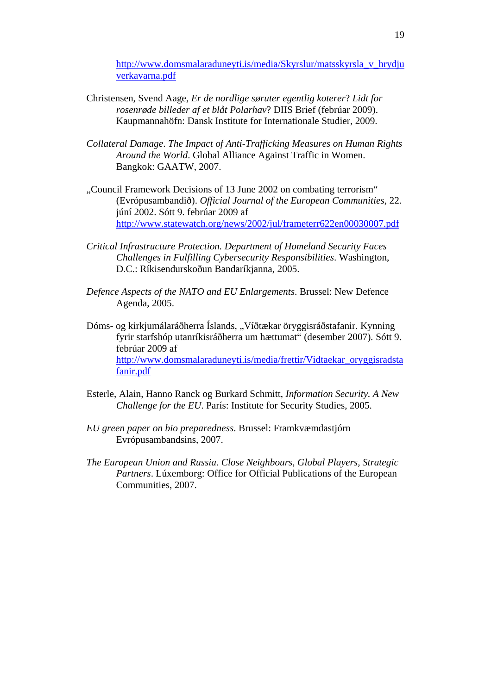http://www.domsmalaraduneyti.is/media/Skyrslur/matsskyrsla\_v\_hrydju verkavarna.pdf

- Christensen, Svend Aage, *Er de nordlige søruter egentlig koterer*? *Lidt for rosenrøde billeder af et blåt Polarhav*? DIIS Brief (febrúar 2009). Kaupmannahöfn: Dansk Institute for Internationale Studier, 2009.
- *Collateral Damage*. *The Impact of Anti-Trafficking Measures on Human Rights Around the World*. Global Alliance Against Traffic in Women. Bangkok: GAATW, 2007.
- "Council Framework Decisions of 13 June 2002 on combating terrorism. (Evrópusambandið). *Official Journal of the European Communities*, 22. júní 2002. Sótt 9. febrúar 2009 af http://www.statewatch.org/news/2002/jul/frameterr622en00030007.pdf
- *Critical Infrastructure Protection. Department of Homeland Security Faces Challenges in Fulfilling Cybersecurity Responsibilities*. Washington, D.C.: Ríkisendurskoðun Bandaríkjanna, 2005.
- *Defence Aspects of the NATO and EU Enlargements*. Brussel: New Defence Agenda, 2005.
- Dóms- og kirkjumálaráðherra Íslands, "Víðtækar örvggisráðstafanir. Kynning fyrir starfshóp utanríkisráðherra um hættumat" (desember 2007)*.* Sótt 9. febrúar 2009 af http://www.domsmalaraduneyti.is/media/frettir/Vidtaekar\_oryggisradsta fanir.pdf
- Esterle, Alain, Hanno Ranck og Burkard Schmitt, *Information Security. A New Challenge for the EU*. París: Institute for Security Studies, 2005.
- *EU green paper on bio preparedness*. Brussel: Framkvæmdastjórn Evrópusambandsins, 2007.
- *The European Union and Russia. Close Neighbours, Global Players, Strategic*  Partners. Lúxemborg: Office for Official Publications of the European Communities, 2007.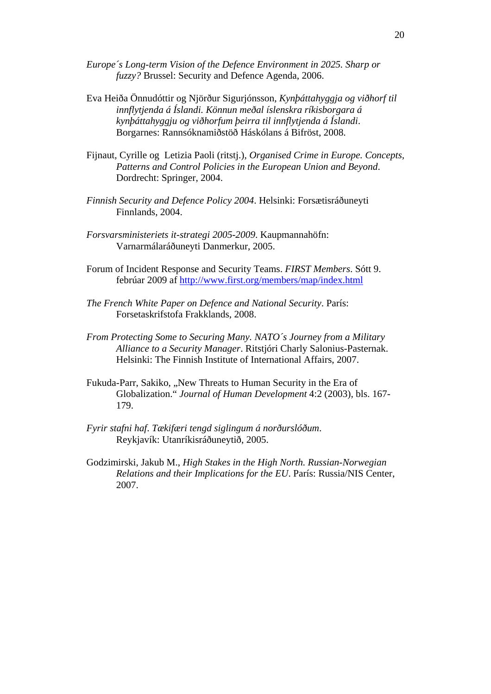- *Europe´s Long-term Vision of the Defence Environment in 2025. Sharp or fuzzy?* Brussel: Security and Defence Agenda, 2006.
- Eva Heiða Önnudóttir og Njörður Sigurjónsson, *Kynþáttahyggja og viðhorf til innflytjenda á Íslandi. Könnun meðal íslenskra ríkisborgara á kynþáttahyggju og viðhorfum þeirra til innflytjenda á Íslandi*. Borgarnes: Rannsóknamiðstöð Háskólans á Bifröst, 2008.
- Fijnaut, Cyrille og Letizia Paoli (ritstj.), *Organised Crime in Europe. Concepts, Patterns and Control Policies in the European Union and Beyond*. Dordrecht: Springer, 2004.
- *Finnish Security and Defence Policy 2004*. Helsinki: Forsætisráðuneyti Finnlands, 2004.
- *Forsvarsministeriets it-strategi 2005-2009*. Kaupmannahöfn: Varnarmálaráðuneyti Danmerkur, 2005.
- Forum of Incident Response and Security Teams. *FIRST Members*. Sótt 9. febrúar 2009 af http://www.first.org/members/map/index.html
- *The French White Paper on Defence and National Security*. París: Forsetaskrifstofa Frakklands, 2008.
- *From Protecting Some to Securing Many. NATO´s Journey from a Military Alliance to a Security Manager*. Ritstjóri Charly Salonius-Pasternak. Helsinki: The Finnish Institute of International Affairs, 2007.
- Fukuda-Parr, Sakiko, "New Threats to Human Security in the Era of Globalization." *Journal of Human Development* 4:2 (2003), bls. 167- 179.
- *Fyrir stafni haf*. *Tækifæri tengd siglingum á norðurslóðum*. Reykjavík: Utanríkisráðuneytið, 2005.
- Godzimirski, Jakub M., *High Stakes in the High North. Russian-Norwegian Relations and their Implications for the EU*. París: Russia/NIS Center, 2007.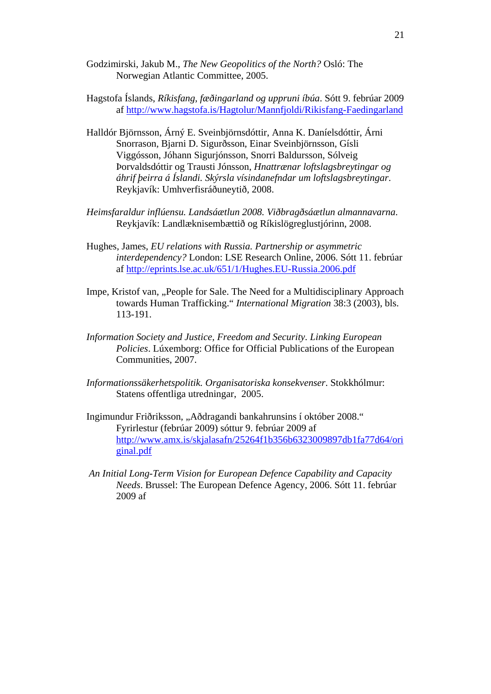- Godzimirski, Jakub M., *The New Geopolitics of the North?* Osló: The Norwegian Atlantic Committee, 2005.
- Hagstofa Íslands, *Ríkisfang, fæðingarland og uppruni íbúa*. Sótt 9. febrúar 2009 af http://www.hagstofa.is/Hagtolur/Mannfjoldi/Rikisfang-Faedingarland
- Halldór Björnsson, Árný E. Sveinbjörnsdóttir, Anna K. Daníelsdóttir, Árni Snorrason, Bjarni D. Sigurðsson, Einar Sveinbjörnsson, Gísli Viggósson, Jóhann Sigurjónsson, Snorri Baldursson, Sólveig Þorvaldsdóttir og Trausti Jónsson, *Hnattrænar loftslagsbreytingar og áhrif þeirra á Íslandi. Skýrsla vísindanefndar um loftslagsbreytingar*. Reykjavík: Umhverfisráðuneytið, 2008.
- *Heimsfaraldur inflúensu. Landsáætlun 2008. Viðbragðsáætlun almannavarna*. Reykjavík: Landlæknisembættið og Ríkislögreglustjórinn, 2008.
- Hughes, James, *EU relations with Russia. Partnership or asymmetric interdependency?* London: LSE Research Online, 2006. Sótt 11. febrúar af http://eprints.lse.ac.uk/651/1/Hughes.EU-Russia.2006.pdf
- Impe, Kristof van, "People for Sale. The Need for a Multidisciplinary Approach towards Human Trafficking." *International Migration* 38:3 (2003), bls. 113-191.
- *Information Society and Justice, Freedom and Security. Linking European Policies*. Lúxemborg: Office for Official Publications of the European Communities, 2007.
- *Informationssäkerhetspolitik. Organisatoriska konsekvenser*. Stokkhólmur: Statens offentliga utredningar, 2005.
- Ingimundur Friðriksson, "Aðdragandi bankahrunsins í október 2008." Fyrirlestur (febrúar 2009) sóttur 9. febrúar 2009 af http://www.amx.is/skjalasafn/25264f1b356b6323009897db1fa77d64/ori ginal.pdf
- *An Initial Long-Term Vision for European Defence Capability and Capacity Needs*. Brussel: The European Defence Agency, 2006. Sótt 11. febrúar 2009 af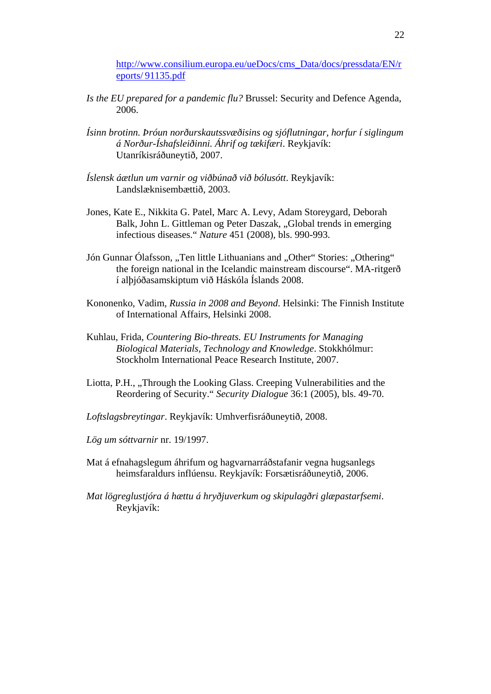http://www.consilium.europa.eu/ueDocs/cms\_Data/docs/pressdata/EN/r eports/ 91135.pdf

- *Is the EU prepared for a pandemic flu?* Brussel: Security and Defence Agenda, 2006.
- *Ísinn brotinn. Þróun norðurskautssvæðisins og sjóflutningar, horfur í siglingum á Norður-Íshafsleiðinni. Áhrif og tækifæri*. Reykjavík: Utanríkisráðuneytið, 2007.
- *Íslensk áætlun um varnir og viðbúnað við bólusótt*. Reykjavík: Landslæknisembættið, 2003.
- Jones, Kate E., Nikkita G. Patel, Marc A. Levy, Adam Storeygard, Deborah Balk, John L. Gittleman og Peter Daszak, "Global trends in emerging infectious diseases." *Nature* 451 (2008), bls. 990-993.
- Jón Gunnar Ólafsson, "Ten little Lithuanians and "Other" Stories: "Othering" the foreign national in the Icelandic mainstream discourse". MA-ritgerð í alþjóðasamskiptum við Háskóla Íslands 2008.
- Kononenko, Vadim, *Russia in 2008 and Beyond*. Helsinki: The Finnish Institute of International Affairs, Helsinki 2008.
- Kuhlau, Frida, *Countering Bio-threats. EU Instruments for Managing Biological Materials, Technology and Knowledge*. Stokkhólmur: Stockholm International Peace Research Institute, 2007.
- Liotta, P.H., "Through the Looking Glass. Creeping Vulnerabilities and the Reordering of Security." *Security Dialogue* 36:1 (2005), bls. 49-70.
- *Loftslagsbreytingar*. Reykjavík: Umhverfisráðuneytið, 2008.
- *Lög um sóttvarnir* nr. 19/1997.
- Mat á efnahagslegum áhrifum og hagvarnarráðstafanir vegna hugsanlegs heimsfaraldurs inflúensu. Reykjavík: Forsætisráðuneytið, 2006.
- *Mat lögreglustjóra á hættu á hryðjuverkum og skipulagðri glæpastarfsemi*. Reykjavík: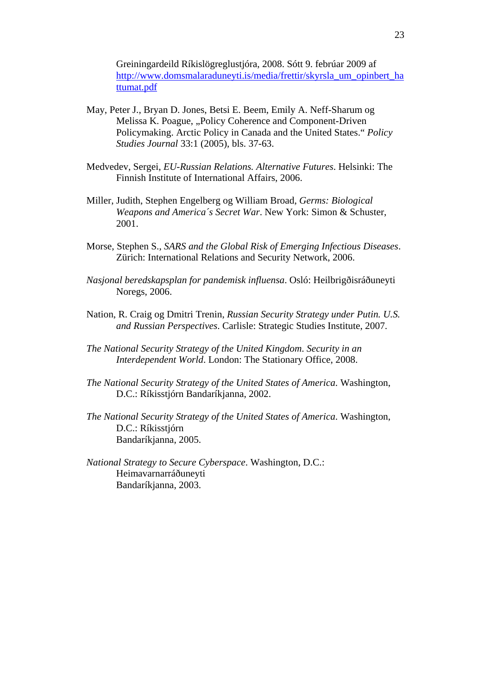Greiningardeild Ríkislögreglustjóra, 2008. Sótt 9. febrúar 2009 af http://www.domsmalaraduneyti.is/media/frettir/skyrsla\_um\_opinbert\_ha ttumat.pdf

- May, Peter J., Bryan D. Jones, Betsi E. Beem, Emily A. Neff-Sharum og Melissa K. Poague, "Policy Coherence and Component-Driven Policymaking. Arctic Policy in Canada and the United States." *Policy Studies Journal* 33:1 (2005), bls. 37-63.
- Medvedev, Sergei, *EU-Russian Relations. Alternative Futures*. Helsinki: The Finnish Institute of International Affairs, 2006.
- Miller, Judith, Stephen Engelberg og William Broad, *Germs: Biological Weapons and America´s Secret War*. New York: Simon & Schuster, 2001.
- Morse, Stephen S., *SARS and the Global Risk of Emerging Infectious Diseases*. Zürich: International Relations and Security Network, 2006.
- *Nasjonal beredskapsplan for pandemisk influensa*. Osló: Heilbrigðisráðuneyti Noregs, 2006.
- Nation, R. Craig og Dmitri Trenin, *Russian Security Strategy under Putin. U.S. and Russian Perspectives*. Carlisle: Strategic Studies Institute, 2007.
- *The National Security Strategy of the United Kingdom*. *Security in an Interdependent World*. London: The Stationary Office, 2008.
- *The National Security Strategy of the United States of America*. Washington, D.C.: Ríkisstjórn Bandaríkjanna, 2002.
- *The National Security Strategy of the United States of America*. Washington, D.C.: Ríkisstjórn Bandaríkjanna, 2005.
- *National Strategy to Secure Cyberspace*. Washington, D.C.: Heimavarnarráðuneyti Bandaríkjanna, 2003.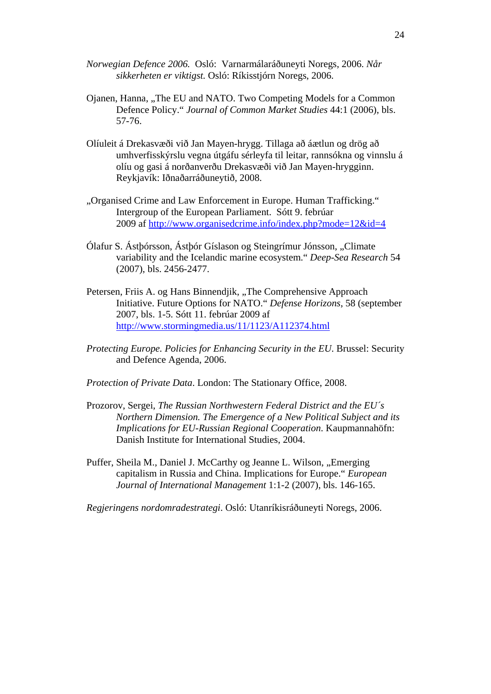- *Norwegian Defence 2006.* Osló: Varnarmálaráðuneyti Noregs, 2006. *Når sikkerheten er viktigst.* Osló: Ríkisstjórn Noregs, 2006.
- Ojanen, Hanna, "The EU and NATO. Two Competing Models for a Common Defence Policy." *Journal of Common Market Studies* 44:1 (2006), bls. 57-76.
- Olíuleit á Drekasvæði við Jan Mayen-hrygg. Tillaga að áætlun og drög að umhverfisskýrslu vegna útgáfu sérleyfa til leitar, rannsókna og vinnslu á olíu og gasi á norðanverðu Drekasvæði við Jan Mayen-hrygginn. Reykjavík: Iðnaðarráðuneytið, 2008.
- "Organised Crime and Law Enforcement in Europe. Human Trafficking." Intergroup of the European Parliament. Sótt 9. febrúar 2009 af http://www.organisedcrime.info/index.php?mode=12&id=4
- Ólafur S. Ástþórsson, Ástþór Gíslason og Steingrímur Jónsson, "Climate variability and the Icelandic marine ecosystem." *Deep-Sea Research* 54 (2007), bls. 2456-2477.
- Petersen, Friis A. og Hans Binnendjik, "The Comprehensive Approach Initiative. Future Options for NATO." *Defense Horizons*, 58 (september 2007, bls. 1-5. Sótt 11. febrúar 2009 af http://www.stormingmedia.us/11/1123/A112374.html
- *Protecting Europe. Policies for Enhancing Security in the EU*. Brussel: Security and Defence Agenda, 2006.
- *Protection of Private Data*. London: The Stationary Office, 2008.
- Prozorov, Sergei, *The Russian Northwestern Federal District and the EU´s Northern Dimension. The Emergence of a New Political Subject and its Implications for EU-Russian Regional Cooperation*. Kaupmannahöfn: Danish Institute for International Studies, 2004.
- Puffer, Sheila M., Daniel J. McCarthy og Jeanne L. Wilson, "Emerging capitalism in Russia and China. Implications for Europe." *European Journal of International Management* 1:1-2 (2007), bls. 146-165.

*Regjeringens nordomradestrategi*. Osló: Utanríkisráðuneyti Noregs, 2006.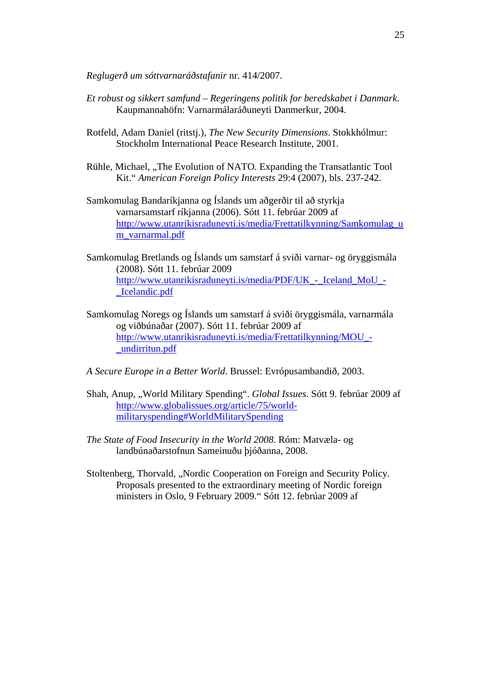*Reglugerð um sóttvarnaráðstafanir* nr. 414/2007.

- *Et robust og sikkert samfund Regeringens politik for beredskabet i Danmark*. Kaupmannahöfn: Varnarmálaráðuneyti Danmerkur, 2004.
- Rotfeld, Adam Daniel (ritstj.), *The New Security Dimensions*. Stokkhólmur: Stockholm International Peace Research Institute, 2001.
- Rühle, Michael, "The Evolution of NATO. Expanding the Transatlantic Tool Kit." *American Foreign Policy Interests* 29:4 (2007), bls. 237-242.
- Samkomulag Bandaríkjanna og Íslands um aðgerðir til að styrkja varnarsamstarf ríkjanna (2006). Sótt 11. febrúar 2009 af http://www.utanrikisraduneyti.is/media/Frettatilkynning/Samkomulag\_u m\_varnarmal.pdf
- Samkomulag Bretlands og Íslands um samstarf á sviði varnar- og öryggismála (2008). Sótt 11. febrúar 2009 http://www.utanrikisraduneyti.is/media/PDF/UK\_-\_Iceland\_MoU\_- \_Icelandic.pdf
- Samkomulag Noregs og Íslands um samstarf á sviði öryggismála, varnarmála og viðbúnaðar (2007). Sótt 11. febrúar 2009 af http://www.utanrikisraduneyti.is/media/Frettatilkynning/MOU\_- \_undirritun.pdf
- *A Secure Europe in a Better World*. Brussel: Evrópusambandið, 2003.
- Shah, Anup, "World Military Spending". *Global Issues*. Sótt 9. febrúar 2009 af http://www.globalissues.org/article/75/worldmilitaryspending#WorldMilitarySpending
- *The State of Food Insecurity in the World 2008*. Róm: Matvæla- og landbúnaðarstofnun Sameinuðu þjóðanna, 2008.
- Stoltenberg, Thorvald, "Nordic Cooperation on Foreign and Security Policy. Proposals presented to the extraordinary meeting of Nordic foreign ministers in Oslo, 9 February 2009." Sótt 12. febrúar 2009 af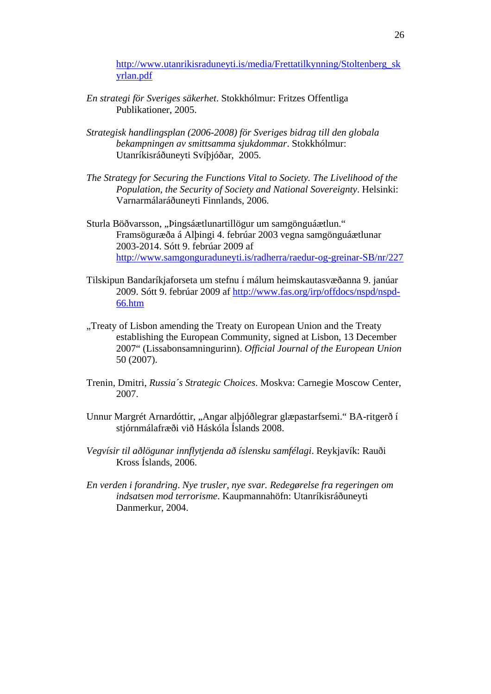http://www.utanrikisraduneyti.is/media/Frettatilkynning/Stoltenberg\_sk yrlan.pdf

- *En strategi för Sveriges säkerhet*. Stokkhólmur: Fritzes Offentliga Publikationer, 2005.
- *Strategisk handlingsplan (2006-2008) för Sveriges bidrag till den globala bekampningen av smittsamma sjukdommar*. Stokkhólmur: Utanríkisráðuneyti Svíþjóðar, 2005.
- *The Strategy for Securing the Functions Vital to Society. The Livelihood of the Population, the Security of Society and National Sovereignty*. Helsinki: Varnarmálaráðuneyti Finnlands, 2006.
- Sturla Böðvarsson, "Þingsáætlunartillögur um samgönguáætlun." Framsöguræða á Alþingi 4. febrúar 2003 vegna samgönguáætlunar 2003-2014. Sótt 9. febrúar 2009 af http://www.samgonguraduneyti.is/radherra/raedur-og-greinar-SB/nr/227
- Tilskipun Bandaríkjaforseta um stefnu í málum heimskautasvæðanna 9. janúar 2009. Sótt 9. febrúar 2009 af http://www.fas.org/irp/offdocs/nspd/nspd-66.htm
- "Treaty of Lisbon amending the Treaty on European Union and the Treaty establishing the European Community, signed at Lisbon, 13 December 2007" (Lissabonsamningurinn). *Official Journal of the European Union*  50 (2007).
- Trenin, Dmitri, *Russia´s Strategic Choices*. Moskva: Carnegie Moscow Center, 2007.
- Unnur Margrét Arnardóttir, "Angar alþjóðlegrar glæpastarfsemi." BA-ritgerð í stjórnmálafræði við Háskóla Íslands 2008.
- *Vegvísir til aðlögunar innflytjenda að íslensku samfélagi*. Reykjavík: Rauði Kross Íslands, 2006.
- *En verden i forandring*. *Nye trusler, nye svar. Redegørelse fra regeringen om indsatsen mod terrorisme*. Kaupmannahöfn: Utanríkisráðuneyti Danmerkur, 2004.